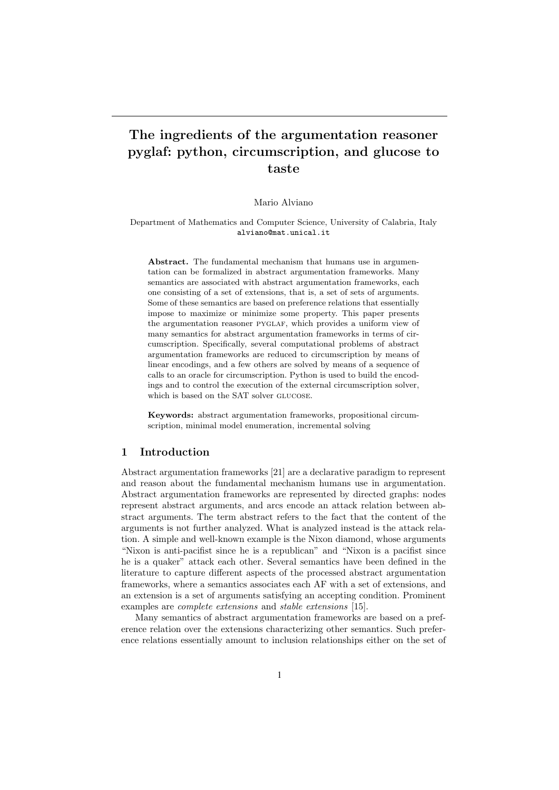# The ingredients of the argumentation reasoner pyglaf: python, circumscription, and glucose to taste

#### Mario Alviano

### Department of Mathematics and Computer Science, University of Calabria, Italy alviano@mat.unical.it

Abstract. The fundamental mechanism that humans use in argumentation can be formalized in abstract argumentation frameworks. Many semantics are associated with abstract argumentation frameworks, each one consisting of a set of extensions, that is, a set of sets of arguments. Some of these semantics are based on preference relations that essentially impose to maximize or minimize some property. This paper presents the argumentation reasoner PYGLAF, which provides a uniform view of many semantics for abstract argumentation frameworks in terms of circumscription. Specifically, several computational problems of abstract argumentation frameworks are reduced to circumscription by means of linear encodings, and a few others are solved by means of a sequence of calls to an oracle for circumscription. Python is used to build the encodings and to control the execution of the external circumscription solver, which is based on the SAT solver GLUCOSE.

Keywords: abstract argumentation frameworks, propositional circumscription, minimal model enumeration, incremental solving

# 1 Introduction

Abstract argumentation frameworks [21] are a declarative paradigm to represent and reason about the fundamental mechanism humans use in argumentation. Abstract argumentation frameworks are represented by directed graphs: nodes represent abstract arguments, and arcs encode an attack relation between abstract arguments. The term abstract refers to the fact that the content of the arguments is not further analyzed. What is analyzed instead is the attack relation. A simple and well-known example is the Nixon diamond, whose arguments "Nixon is anti-pacifist since he is a republican" and "Nixon is a pacifist since he is a quaker" attack each other. Several semantics have been defined in the literature to capture different aspects of the processed abstract argumentation frameworks, where a semantics associates each AF with a set of extensions, and an extension is a set of arguments satisfying an accepting condition. Prominent examples are complete extensions and stable extensions [15].

Many semantics of abstract argumentation frameworks are based on a preference relation over the extensions characterizing other semantics. Such preference relations essentially amount to inclusion relationships either on the set of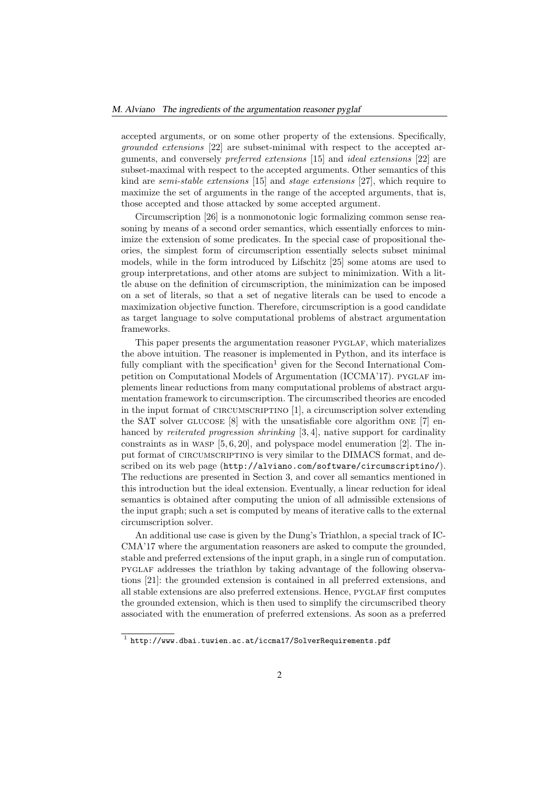accepted arguments, or on some other property of the extensions. Specifically, grounded extensions [22] are subset-minimal with respect to the accepted arguments, and conversely preferred extensions [15] and ideal extensions [22] are subset-maximal with respect to the accepted arguments. Other semantics of this kind are semi-stable extensions [15] and stage extensions [27], which require to maximize the set of arguments in the range of the accepted arguments, that is, those accepted and those attacked by some accepted argument.

Circumscription [26] is a nonmonotonic logic formalizing common sense reasoning by means of a second order semantics, which essentially enforces to minimize the extension of some predicates. In the special case of propositional theories, the simplest form of circumscription essentially selects subset minimal models, while in the form introduced by Lifschitz [25] some atoms are used to group interpretations, and other atoms are subject to minimization. With a little abuse on the definition of circumscription, the minimization can be imposed on a set of literals, so that a set of negative literals can be used to encode a maximization objective function. Therefore, circumscription is a good candidate as target language to solve computational problems of abstract argumentation frameworks.

This paper presents the argumentation reasoner PYGLAF, which materializes the above intuition. The reasoner is implemented in Python, and its interface is fully compliant with the specification<sup>1</sup> given for the Second International Competition on Computational Models of Argumentation (ICCMA'17). pyglaf implements linear reductions from many computational problems of abstract argumentation framework to circumscription. The circumscribed theories are encoded in the input format of circumscriptino [1], a circumscription solver extending the SAT solver GLUCOSE [8] with the unsatisfiable core algorithm ONE [7] enhanced by *reiterated progression shrinking* [3, 4], native support for cardinality constraints as in WASP  $[5, 6, 20]$ , and polyspace model enumeration  $[2]$ . The input format of CIRCUMSCRIPTINO is very similar to the DIMACS format, and described on its web page (http://alviano.com/software/circumscriptino/). The reductions are presented in Section 3, and cover all semantics mentioned in this introduction but the ideal extension. Eventually, a linear reduction for ideal semantics is obtained after computing the union of all admissible extensions of the input graph; such a set is computed by means of iterative calls to the external circumscription solver.

An additional use case is given by the Dung's Triathlon, a special track of IC-CMA'17 where the argumentation reasoners are asked to compute the grounded, stable and preferred extensions of the input graph, in a single run of computation. pyglaf addresses the triathlon by taking advantage of the following observations [21]: the grounded extension is contained in all preferred extensions, and all stable extensions are also preferred extensions. Hence, PYGLAF first computes the grounded extension, which is then used to simplify the circumscribed theory associated with the enumeration of preferred extensions. As soon as a preferred

 $1$  http://www.dbai.tuwien.ac.at/iccma17/SolverRequirements.pdf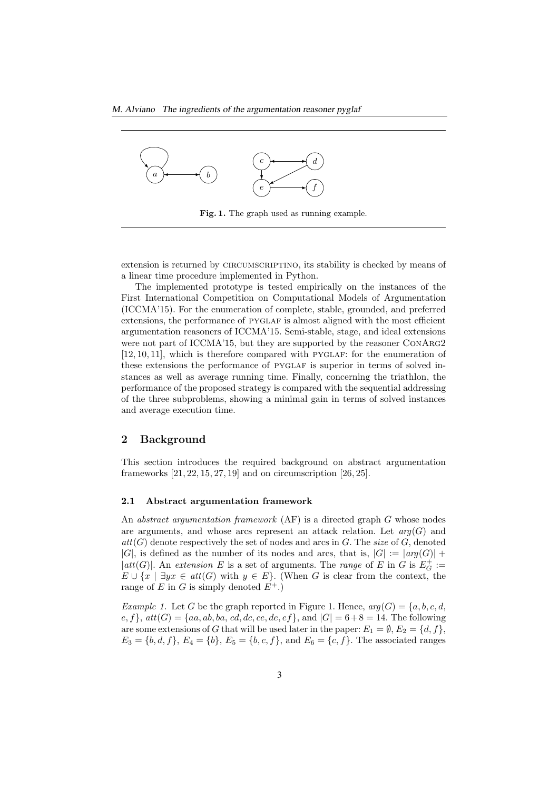

Fig. 1. The graph used as running example.

extension is returned by CIRCUMSCRIPTINO, its stability is checked by means of a linear time procedure implemented in Python.

The implemented prototype is tested empirically on the instances of the First International Competition on Computational Models of Argumentation (ICCMA'15). For the enumeration of complete, stable, grounded, and preferred extensions, the performance of PYGLAF is almost aligned with the most efficient argumentation reasoners of ICCMA'15. Semi-stable, stage, and ideal extensions were not part of ICCMA'15, but they are supported by the reasoner ConArg2  $[12, 10, 11]$ , which is therefore compared with PYGLAF: for the enumeration of these extensions the performance of PYGLAF is superior in terms of solved instances as well as average running time. Finally, concerning the triathlon, the performance of the proposed strategy is compared with the sequential addressing of the three subproblems, showing a minimal gain in terms of solved instances and average execution time.

## 2 Background

This section introduces the required background on abstract argumentation frameworks [21, 22, 15, 27, 19] and on circumscription [26, 25].

#### 2.1 Abstract argumentation framework

An *abstract argumentation framework*  $(AF)$  is a directed graph  $G$  whose nodes are arguments, and whose arcs represent an attack relation. Let  $arg(G)$  and  $att(G)$  denote respectively the set of nodes and arcs in G. The size of G, denoted |G|, is defined as the number of its nodes and arcs, that is,  $|G| := |arg(G)| +$ |att(G)|. An extension E is a set of arguments. The range of E in G is  $E_G^+$  :=  $E \cup \{x \mid \exists yx \in att(G) \text{ with } y \in E\}.$  (When G is clear from the context, the range of E in G is simply denoted  $E^+$ .)

*Example 1.* Let G be the graph reported in Figure 1. Hence,  $arg(G) = \{a, b, c, d, c\}$  $e, f\}, att(G) = \{aa, ab, ba, cd, dc, ce, de, ef\}, \text{and } |G| = 6+8 = 14.$  The following are some extensions of G that will be used later in the paper:  $E_1 = \emptyset$ ,  $E_2 = \{d, f\}$ ,  $E_3 = \{b, d, f\}, E_4 = \{b\}, E_5 = \{b, c, f\}, \text{ and } E_6 = \{c, f\}.$  The associated ranges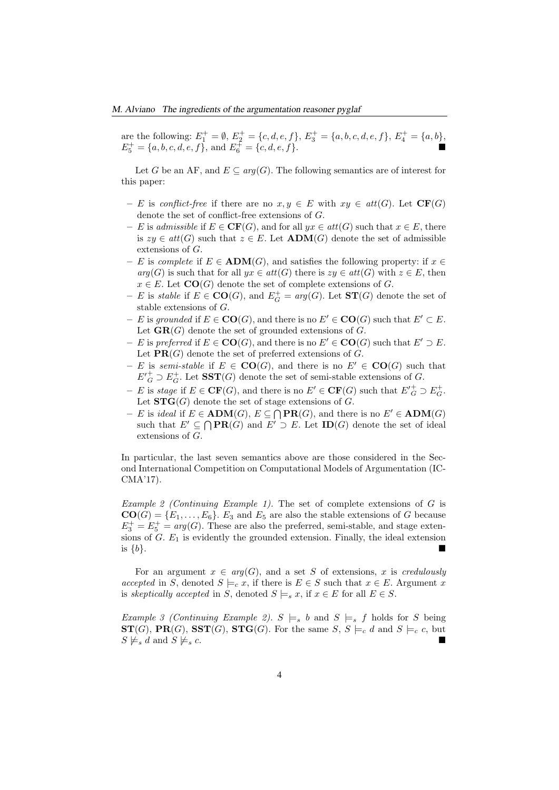are the following:  $E_1^+ = \emptyset$ ,  $E_2^+ = \{c, d, e, f\}$ ,  $E_3^+ = \{a, b, c, d, e, f\}$ ,  $E_4^+ = \{a, b\}$ ,  $E_5^+ = \{a, b, c, d, e, f\}, \text{ and } E_6^+ = \{c, d, e, f\}.$ 

Let G be an AF, and  $E \subseteq arg(G)$ . The following semantics are of interest for this paper:

- E is conflict-free if there are no  $x, y \in E$  with  $xy \in att(G)$ . Let  $CF(G)$ denote the set of conflict-free extensions of G.
- E is admissible if  $E \in \mathbf{CF}(G)$ , and for all  $yx \in att(G)$  such that  $x \in E$ , there is  $zy \in att(G)$  such that  $z \in E$ . Let  $\text{ADM}(G)$  denote the set of admissible extensions of G.
- E is complete if  $E \in \text{ADM}(G)$ , and satisfies the following property: if  $x \in$  $arg(G)$  is such that for all  $yx \in att(G)$  there is  $zy \in att(G)$  with  $z \in E$ , then  $x \in E$ . Let  $CO(G)$  denote the set of complete extensions of G.
- $-E$  is *stable* if  $E \in \mathbf{CO}(G)$ , and  $E_G^+ = arg(G)$ . Let  $\mathbf{ST}(G)$  denote the set of stable extensions of G.
- E is grounded if  $E \in \mathbf{CO}(G)$ , and there is no  $E' \in \mathbf{CO}(G)$  such that  $E' \subset E$ . Let  $\mathbf{GR}(G)$  denote the set of grounded extensions of G.
- $E$  is preferred if  $E \in \mathbf{CO}(G)$ , and there is no  $E' \in \mathbf{CO}(G)$  such that  $E' \supset E$ . Let  $PR(G)$  denote the set of preferred extensions of G.
- E is semi-stable if  $E \in \mathbf{CO}(G)$ , and there is no  $E' \in \mathbf{CO}(G)$  such that  $E'_{\mathcal{G}}^+ \supset E_{\mathcal{G}}^+$ . Let  $\mathbf{SST}(G)$  denote the set of semi-stable extensions of  $G$ .
- $− E$  is stage if  $E \in \mathbf{CF}(G)$ , and there is no  $E' \in \mathbf{CF}(G)$  such that  $E'_{G}^+ \supset E_G^+$ . Let  $\text{STG}(G)$  denote the set of stage extensions of G.
- E is ideal if  $E \in \text{ADM}(G)$ ,  $E \subseteq \bigcap \text{PR}(G)$ , and there is no  $E' \in \text{ADM}(G)$ such that  $E' \subseteq \bigcap \textbf{PR}(G)$  and  $E' \supset E$ . Let  $\textbf{ID}(G)$  denote the set of ideal extensions of G.

In particular, the last seven semantics above are those considered in the Second International Competition on Computational Models of Argumentation (IC-CMA'17).

Example 2 (Continuing Example 1). The set of complete extensions of  $G$  is  $CO(G) = \{E_1, \ldots, E_6\}$ .  $E_3$  and  $E_5$  are also the stable extensions of G because  $E_3^+ = E_5^+ = \arg(G)$ . These are also the preferred, semi-stable, and stage extensions of  $G. E_1$  is evidently the grounded extension. Finally, the ideal extension is  $\{b\}$ .

For an argument  $x \in arg(G)$ , and a set S of extensions, x is credulously accepted in S, denoted  $S \models_c x$ , if there is  $E \in S$  such that  $x \in E$ . Argument x is skeptically accepted in S, denoted  $S \models_s x$ , if  $x \in E$  for all  $E \in S$ .

Example 3 (Continuing Example 2).  $S \models_s b$  and  $S \models_s f$  holds for S being  $ST(G)$ ,  $PR(G)$ ,  $SST(G)$ ,  $STG(G)$ . For the same S,  $S \models_c d$  and  $S \models_c c$ , but  $S \not\models_s d$  and  $S \not\models_s c$ .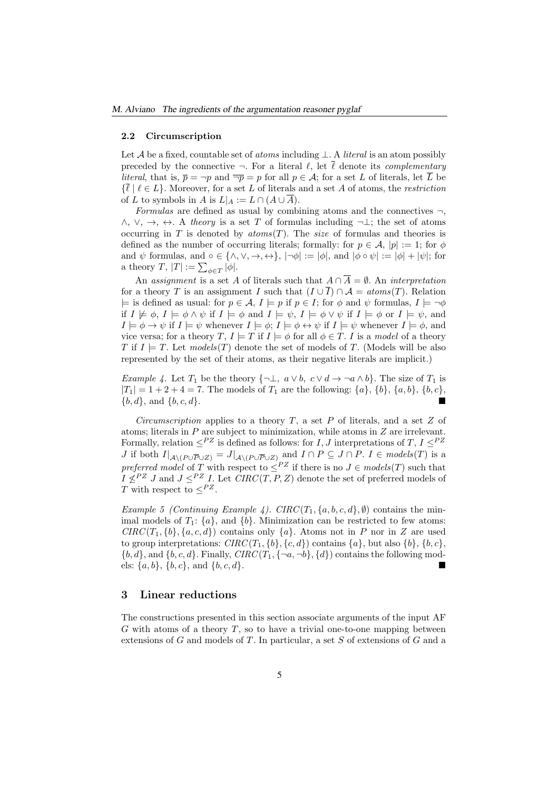#### 2.2 Circumscription

Let A be a fixed, countable set of *atoms* including  $\bot$ . A *literal* is an atom possibly preceded by the connective  $\neg$ . For a literal  $\ell$ , let  $\overline{\ell}$  denote its *complementary literal*, that is,  $\bar{p} = \neg p$  and  $\bar{p} = p$  for all  $p \in A$ ; for a set L of literals, let  $\bar{L}$  be  $\{\bar{l} \mid l \in L\}$ . Moreover, for a set L of literals and a set A of atoms, the restriction of L to symbols in A is  $L|_A := L \cap (A \cup \overline{A}).$ 

Formulas are defined as usual by combining atoms and the connectives  $\neg$ ,  $\land$ ,  $\lor$ ,  $\rightarrow$ ,  $\leftrightarrow$ . A *theory* is a set T of formulas including  $\neg \bot$ ; the set of atoms occurring in T is denoted by  $atoms(T)$ . The size of formulas and theories is defined as the number of occurring literals; formally: for  $p \in \mathcal{A}$ ,  $|p| := 1$ ; for  $\phi$ and  $\psi$  formulas, and ∘ ∈ { $\wedge$ ,  $\vee$ ,  $\rightarrow$ ,  $\leftrightarrow$ },  $|\neg \phi| := |\phi|$ , and  $|\phi \circ \psi| := |\phi| + |\psi|$ ; for a theory  $T$ ,  $|T| := \sum_{\phi \in T} |\phi|$ .

An assignment is a set A of literals such that  $A \cap \overline{A} = \emptyset$ . An *interpretation* for a theory T is an assignment I such that  $(I \cup \overline{I}) \cap A = \text{atoms}(T)$ . Relation  $\models$  is defined as usual: for  $p \in \mathcal{A}, I \models p$  if  $p \in I$ ; for  $\phi$  and  $\psi$  formulas,  $I \models \neg \phi$ if  $I \not\models \phi, I \models \phi \land \psi$  if  $I \models \phi$  and  $I \models \psi, I \models \phi \lor \psi$  if  $I \models \phi$  or  $I \models \psi$ , and  $I \models \phi \rightarrow \psi$  if  $I \models \psi$  whenever  $I \models \phi$ ;  $I \models \phi \leftrightarrow \psi$  if  $I \models \psi$  whenever  $I \models \phi$ , and vice versa; for a theory  $T, I \models T$  if  $I \models \phi$  for all  $\phi \in T$ . I is a model of a theory T if  $I \models T$ . Let models(T) denote the set of models of T. (Models will be also represented by the set of their atoms, as their negative literals are implicit.)

*Example 4.* Let  $T_1$  be the theory  $\{\neg \bot, a \lor b, c \lor d \rightarrow \neg a \land b\}$ . The size of  $T_1$  is  $|T_1| = 1 + 2 + 4 = 7$ . The models of  $T_1$  are the following:  $\{a\}, \{b\}, \{a, b\}, \{b, c\},$  ${b, d}$ , and  ${b, c, d}$ .

Circumscription applies to a theory  $T$ , a set  $P$  of literals, and a set  $Z$  of atoms; literals in P are subject to minimization, while atoms in Z are irrelevant. Formally, relation  $\leq^{PZ}$  is defined as follows: for I, J interpretations of T,  $I \leq^{PZ}$ J if both  $I|_{\mathcal{A}\setminus (P\cup \overline{P}\cup Z)} = J|_{\mathcal{A}\setminus (P\cup \overline{P}\cup Z)}$  and  $I \cap P \subseteq J \cap P$ .  $I \in \mathit{models}(T)$  is a preferred model of T with respect to  $\leq^{PZ}$  if there is no  $J \in \text{models}(T)$  such that  $I \nleq^{PZ} J$  and  $J \nleq^{PZ} I$ . Let  $CIRC(T, P, Z)$  denote the set of preferred models of T with respect to  $\leq^{PZ}$ .

Example 5 (Continuing Example 4). CIRC( $T_1, \{a, b, c, d\}, \emptyset$ ) contains the minimal models of  $T_1$ :  $\{a\}$ , and  $\{b\}$ . Minimization can be restricted to few atoms:  $CIRC(T_1, \{b\}, \{a, c, d\})$  contains only  $\{a\}$ . Atoms not in P nor in Z are used to group interpretations:  $CIRC(T_1, \{b\}, \{c, d\})$  contains  $\{a\}$ , but also  $\{b\}$ ,  $\{b, c\}$ ,  ${b, d}$ , and  ${b, c, d}$ . Finally,  $CIRC(T_1, \{\neg a, \neg b\}, \{d\})$  contains the following models:  $\{a, b\}, \{b, c\}, \text{ and } \{b, c, d\}.$ 

## 3 Linear reductions

The constructions presented in this section associate arguments of the input AF  $G$  with atoms of a theory  $T$ , so to have a trivial one-to-one mapping between extensions of G and models of T. In particular, a set S of extensions of G and a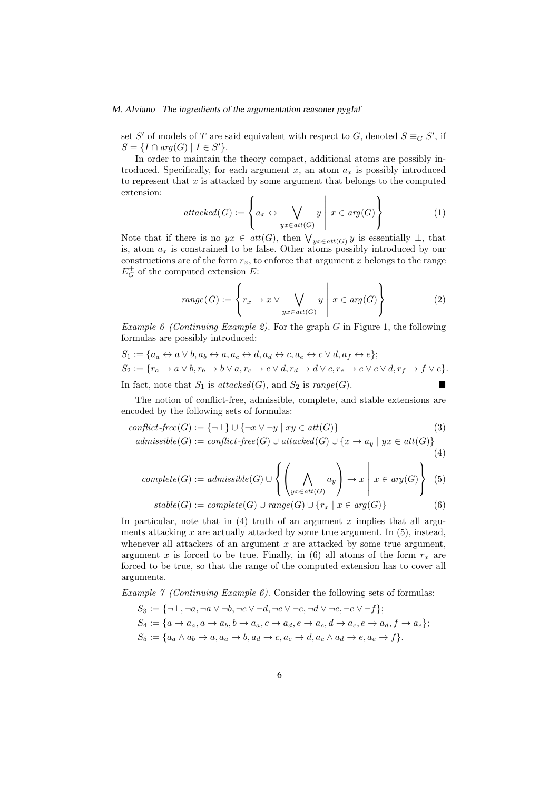set S' of models of T are said equivalent with respect to G, denoted  $S \equiv_G S'$ , if  $S = \{I \cap arg(G) \mid I \in S'\}.$ 

In order to maintain the theory compact, additional atoms are possibly introduced. Specifically, for each argument x, an atom  $a_x$  is possibly introduced to represent that  $x$  is attacked by some argument that belongs to the computed extension:

$$
attached(G) := \left\{ a_x \leftrightarrow \bigvee_{yx \in att(G)} y \mid x \in arg(G) \right\} \tag{1}
$$

Note that if there is no  $yx \in att(G)$ , then  $\bigvee_{yx \in att(G)} y$  is essentially  $\bot$ , that is, atom  $a_x$  is constrained to be false. Other atoms possibly introduced by our constructions are of the form  $r_x$ , to enforce that argument x belongs to the range  $E_G^+$  of the computed extension E:

$$
range(G) := \left\{ r_x \to x \vee \bigvee_{yx \in att(G)} y \mid x \in arg(G) \right\} \tag{2}
$$

Example 6 (Continuing Example 2). For the graph  $G$  in Figure 1, the following formulas are possibly introduced:

$$
S_1 := \{a_a \leftrightarrow a \lor b, a_b \leftrightarrow a, a_c \leftrightarrow d, a_d \leftrightarrow c, a_e \leftrightarrow c \lor d, a_f \leftrightarrow e\};
$$
  
\n
$$
S_2 := \{r_a \to a \lor b, r_b \to b \lor a, r_c \to c \lor d, r_d \to d \lor c, r_e \to e \lor c \lor d, r_f \to f \lor e\}.
$$
  
\nIn fact, note that  $S_1$  is *attached*(*G*), and  $S_2$  is *range*(*G*).

The notion of conflict-free, admissible, complete, and stable extensions are encoded by the following sets of formulas:

$$
conflict-free(G) := \{\neg \bot\} \cup \{\neg x \lor \neg y \mid xy \in att(G)\}\
$$
\n
$$
(3)
$$

$$
admissible(G) := conflict-free(G) \cup attacked(G) \cup \{x \to a_y \mid yx \in att(G)\}
$$
\n
$$
\tag{4}
$$

$$
complete(G) := admissible(G) \cup \left\{ \left( \bigwedge_{yx \in att(G)} a_y \right) \to x \mid x \in arg(G) \right\} \tag{5}
$$

$$
stable(G) := complete(G) \cup range(G) \cup \{r_x \mid x \in arg(G)\}\tag{6}
$$

In particular, note that in  $(4)$  truth of an argument x implies that all arguments attacking  $x$  are actually attacked by some true argument. In  $(5)$ , instead, whenever all attackers of an argument  $x$  are attacked by some true argument, argument x is forced to be true. Finally, in (6) all atoms of the form  $r_x$  are forced to be true, so that the range of the computed extension has to cover all arguments.

Example  $\gamma$  (Continuing Example 6). Consider the following sets of formulas:

$$
S_3 := \{\neg \bot, \neg a, \neg a \lor \neg b, \neg c \lor \neg d, \neg c \lor \neg e, \neg d \lor \neg e, \neg e \lor \neg f\};
$$
  
\n
$$
S_4 := \{a \to a_a, a \to a_b, b \to a_a, c \to a_d, e \to a_c, d \to a_c, e \to a_d, f \to a_e\};
$$
  
\n
$$
S_5 := \{a_a \land a_b \to a, a_a \to b, a_d \to c, a_c \to d, a_c \land a_d \to e, a_e \to f\}.
$$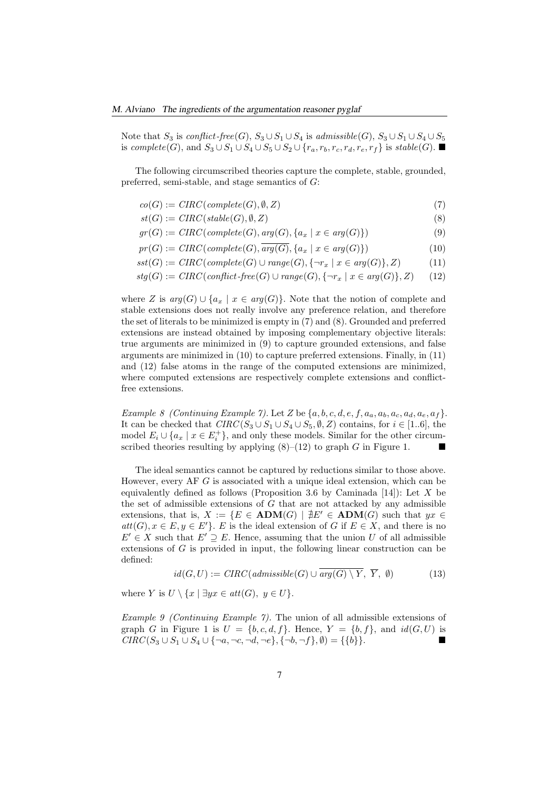Note that  $S_3$  is conflict-free(G),  $S_3 \cup S_1 \cup S_4$  is admissible(G),  $S_3 \cup S_1 \cup S_4 \cup S_5$ is complete(G), and  $S_3 \cup S_1 \cup S_4 \cup S_5 \cup S_2 \cup \{r_a, r_b, r_c, r_d, r_e, r_f\}$  is stable(G). ■

The following circumscribed theories capture the complete, stable, grounded, preferred, semi-stable, and stage semantics of G:

- $co(G) := CIRC(complete(G), \emptyset, Z)$  (7)
- $st(G) := CIRC(state(G), \emptyset, Z)$  (8)
- $gr(G) := CIRC(complete(G), arg(G), \{a_x \mid x \in arg(G)\})$  (9)
- $pr(G) := CIRC(complete(G), \overline{arg(G)}, \{a_x \mid x \in arg(G)\})$  (10)
- $sst(G) := CIRC(complete(G) \cup range(G), \{\neg r_x \mid x \in arg(G)\}, Z)$  (11)
- $stg(G) := CIRC(conflict-free(G) \cup range(G), \{\neg r_x \mid x \in arg(G)\}, Z)$  (12)

where Z is  $arg(G) \cup \{a_x \mid x \in arg(G)\}\)$ . Note that the notion of complete and stable extensions does not really involve any preference relation, and therefore the set of literals to be minimized is empty in (7) and (8). Grounded and preferred extensions are instead obtained by imposing complementary objective literals: true arguments are minimized in (9) to capture grounded extensions, and false arguments are minimized in (10) to capture preferred extensions. Finally, in (11) and (12) false atoms in the range of the computed extensions are minimized, where computed extensions are respectively complete extensions and conflictfree extensions.

Example 8 (Continuing Example 7). Let Z be  $\{a, b, c, d, e, f, a_a, a_b, a_c, a_d, a_e, a_f\}$ . It can be checked that  $CIRC(S_3\cup S_1\cup S_4\cup S_5,\emptyset,Z)$  contains, for  $i\in[1..6]$ , the model  $E_i \cup \{a_x \mid x \in E_i^+\}$ , and only these models. Similar for the other circumscribed theories resulting by applying  $(8)$ – $(12)$  to graph G in Figure 1.

The ideal semantics cannot be captured by reductions similar to those above. However, every AF  $G$  is associated with a unique ideal extension, which can be equivalently defined as follows (Proposition 3.6 by Caminada [14]): Let X be the set of admissible extensions of  $G$  that are not attacked by any admissible extensions, that is,  $X := \{ E \in \text{ADM}(G) \mid \nexists E' \in \text{ADM}(G) \text{ such that } yx \in$  $att(G), x \in E, y \in E'$ . E is the ideal extension of G if  $E \in X$ , and there is no  $E' \in X$  such that  $E' \supseteq E$ . Hence, assuming that the union U of all admissible extensions of G is provided in input, the following linear construction can be defined:

$$
id(G, U) := CIRC(admissible(G) \cup \overline{arg(G) \setminus Y}, \overline{Y}, \emptyset) \tag{13}
$$

where Y is  $U \setminus \{x \mid \exists yx \in att(G), y \in U\}.$ 

Example 9 (Continuing Example 7). The union of all admissible extensions of graph G in Figure 1 is  $U = \{b, c, d, f\}$ . Hence,  $Y = \{b, f\}$ , and  $id(G, U)$  is  $CIRC(S_3 \cup S_1 \cup S_4 \cup \{\neg a, \neg c, \neg d, \neg e\}, \{\neg b, \neg f\}, \emptyset) = \{\{b\}\}.$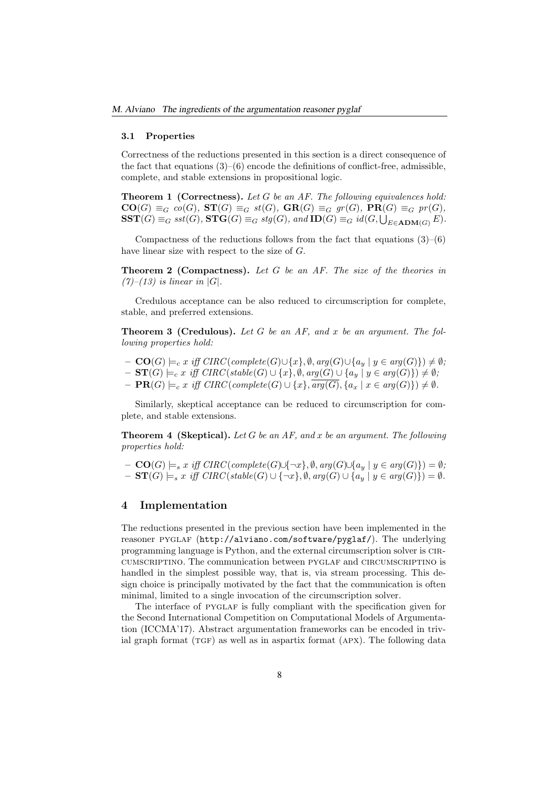#### 3.1 Properties

Correctness of the reductions presented in this section is a direct consequence of the fact that equations  $(3)$ – $(6)$  encode the definitions of conflict-free, admissible, complete, and stable extensions in propositional logic.

Theorem 1 (Correctness). Let G be an AF. The following equivalences hold:  $CO(G) \equiv_G co(G), \mathbf{ST}(G) \equiv_G st(G), \mathbf{GR}(G) \equiv_G gr(G), \mathbf{PR}(G) \equiv_G pr(G),$  $\mathbf{SST}(G) \equiv_G sst(G), \mathbf{STG}(G) \equiv_G stg(G), \text{ and } \mathbf{ID}(G) \equiv_G id(G, \bigcup_{E \in \mathbf{ADM}(G)} E).$ 

Compactness of the reductions follows from the fact that equations  $(3)$ – $(6)$ have linear size with respect to the size of G.

**Theorem 2 (Compactness).** Let G be an AF. The size of the theories in  $(7)$ – $(13)$  is linear in  $|G|$ .

Credulous acceptance can be also reduced to circumscription for complete, stable, and preferred extensions.

**Theorem 3 (Credulous).** Let G be an AF, and x be an argument. The following properties hold:

- $CO(G) \models_c x \text{ iff } CIRC(complete(G) \cup \{x\}, \emptyset, arg(G) \cup \{a_y \mid y \in arg(G)\}) \neq \emptyset;$
- $\textbf{ST}(G) \models_c x \text{ iff } CIRC(state(G) \cup \{x\}, \emptyset, arg(G) \cup \{a_y \mid y \in arg(G)\}) \neq \emptyset;$
- $-$  **PR**(G)  $\models_c x$  iff CIRC(complete(G)  $\cup \{x\}$ ,  $\overline{arg(G)}$ ,  $\{a_x \mid x \in arg(G)\}\neq \emptyset$ .

Similarly, skeptical acceptance can be reduced to circumscription for complete, and stable extensions.

**Theorem 4 (Skeptical).** Let  $G$  be an  $AF$ , and  $x$  be an argument. The following properties hold:

 $-$  CO(G)  $\models$ <sub>s</sub> x iff CIRC(complete(G) $\cup$ {¬x}, Ø, arg(G) $\cup$ {a<sub>y</sub> |  $y \in arg(G)$ }) = Ø;  $-$  ST(G)  $\models$ <sub>s</sub> x iff CIRC(stable(G) ∪ {¬x}, Ø, arg(G) ∪ { $a_y | y \in arg(G)$ }) = Ø.

#### 4 Implementation

The reductions presented in the previous section have been implemented in the reasoner PYGLAF (http://alviano.com/software/pyglaf/). The underlying programming language is Python, and the external circumscription solver is circumscriptino. The communication between pyglaf and circumscriptino is handled in the simplest possible way, that is, via stream processing. This design choice is principally motivated by the fact that the communication is often minimal, limited to a single invocation of the circumscription solver.

The interface of PYGLAF is fully compliant with the specification given for the Second International Competition on Computational Models of Argumentation (ICCMA'17). Abstract argumentation frameworks can be encoded in trivial graph format  $(TGF)$  as well as in aspartix format  $(APX)$ . The following data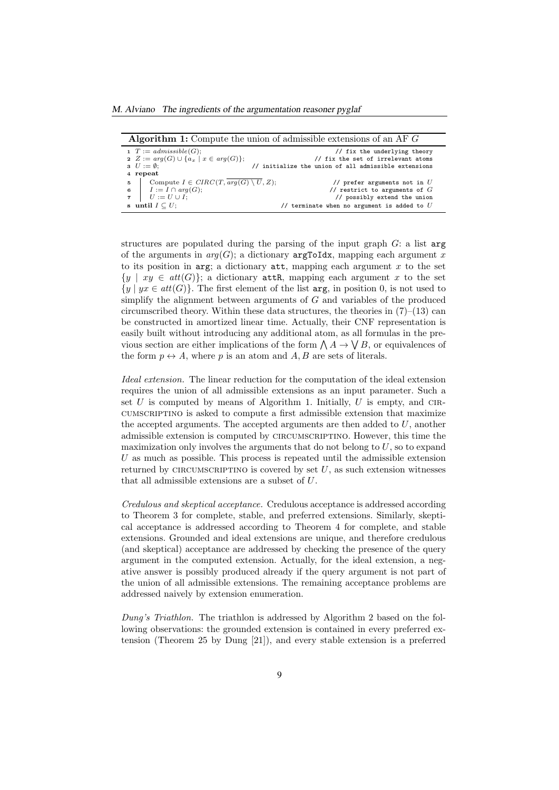M. Alviano The ingredients of the argumentation reasoner pyglaf

|                                                                                                                                                                                                     | <b>Algorithm 1:</b> Compute the union of admissible extensions of an AF $G$                                                                        |
|-----------------------------------------------------------------------------------------------------------------------------------------------------------------------------------------------------|----------------------------------------------------------------------------------------------------------------------------------------------------|
| $1$ $T := admissible(G);$<br>2 $Z := arg(G) \cup \{a_x \mid x \in arg(G)\};$<br>$\mathbf{3}$ $U := \emptyset$ :<br>4 repeat                                                                         | // fix the underlying theory<br>// fix the set of irrelevant atoms<br>// initialize the union of all admissible extensions                         |
| Compute $I \in \mathcal{CIRC}(T, \arg(\overline{G}) \setminus \overline{U}, \overline{Z});$<br>5<br>6 $I := I \cap arg(G);$<br>$\overline{\phantom{I}}$ $U := U \cup I;$<br>until $I \subseteq U$ ; | // prefer arguments not in $U$<br>// restrict to arguments of $G$<br>// possibly extend the union<br>// terminate when no argument is added to $U$ |

structures are populated during the parsing of the input graph  $G$ : a list  $arg$ of the arguments in  $arg(G)$ ; a dictionary **argToIdx**, mapping each argument x to its position in  $arg$ ; a dictionary  $att$ , mapping each argument x to the set  $\{y \mid xy \in att(G)\};$  a dictionary attR, mapping each argument x to the set  $\{y \mid yx \in att(G)\}.$  The first element of the list  $arg$ , in position 0, is not used to simplify the alignment between arguments of  $G$  and variables of the produced circumscribed theory. Within these data structures, the theories in  $(7)$ – $(13)$  can be constructed in amortized linear time. Actually, their CNF representation is easily built without introducing any additional atom, as all formulas in the previous section are either implications of the form  $\Lambda A \to \Lambda B$ , or equivalences of the form  $p \leftrightarrow A$ , where p is an atom and A, B are sets of literals.

Ideal extension. The linear reduction for the computation of the ideal extension requires the union of all admissible extensions as an input parameter. Such a set  $U$  is computed by means of Algorithm 1. Initially,  $U$  is empty, and CIRcumscriptino is asked to compute a first admissible extension that maximize the accepted arguments. The accepted arguments are then added to  $U$ , another admissible extension is computed by circumscriptino. However, this time the maximization only involves the arguments that do not belong to  $U$ , so to expand U as much as possible. This process is repeated until the admissible extension returned by CIRCUMSCRIPTINO is covered by set  $U$ , as such extension witnesses that all admissible extensions are a subset of U.

Credulous and skeptical acceptance. Credulous acceptance is addressed according to Theorem 3 for complete, stable, and preferred extensions. Similarly, skeptical acceptance is addressed according to Theorem 4 for complete, and stable extensions. Grounded and ideal extensions are unique, and therefore credulous (and skeptical) acceptance are addressed by checking the presence of the query argument in the computed extension. Actually, for the ideal extension, a negative answer is possibly produced already if the query argument is not part of the union of all admissible extensions. The remaining acceptance problems are addressed naively by extension enumeration.

Dung's Triathlon. The triathlon is addressed by Algorithm 2 based on the following observations: the grounded extension is contained in every preferred extension (Theorem 25 by Dung [21]), and every stable extension is a preferred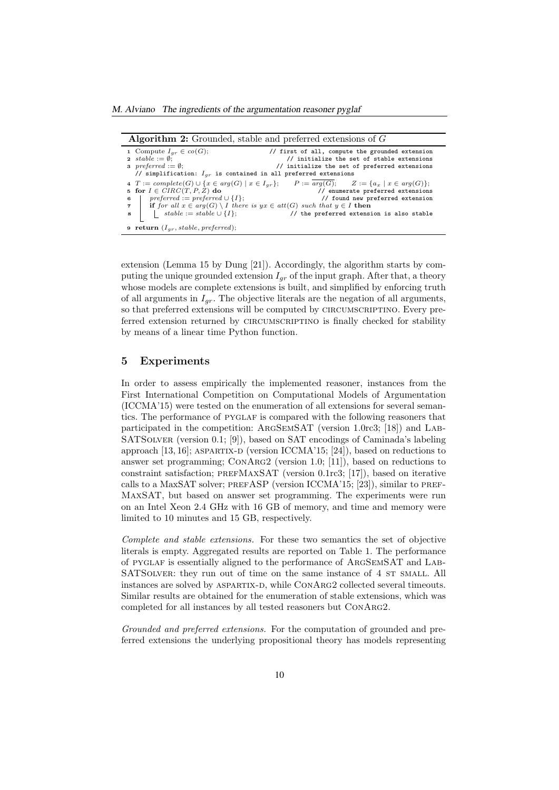| <b>Algorithm 2:</b> Grounded, stable and preferred extensions of $G$                                                                                                                                                                                                                                               |                                                                                                                                                                        |
|--------------------------------------------------------------------------------------------------------------------------------------------------------------------------------------------------------------------------------------------------------------------------------------------------------------------|------------------------------------------------------------------------------------------------------------------------------------------------------------------------|
| 1 Compute $I_{ar} \in co(G);$<br>2 stable := $\emptyset$ ;<br><b>3</b> preferred $:= \emptyset$ ;<br>// simplification: $I_{ar}$ is contained in all preferred extensions                                                                                                                                          | // first of all, compute the grounded extension<br>// initialize the set of stable extensions<br>// initialize the set of preferred extensions                         |
| 4 $T := complete(G) \cup \{x \in arg(G) \mid x \in I_{qr}\};$<br>5 for $I \in \mathcal{CIRC}(T,P,Z)$ do<br>$\vert$ preferred := preferred $\cup$ {I};<br>6<br>if for all $x \in arg(G) \setminus I$ there is $yx \in att(G)$ such that $y \in I$ then<br>$7 \mid$<br>$\mathbf{a}$   stable := stable $\cup \{I\};$ | $P := arg(G);$ $Z := \{a_x \mid x \in arg(G)\};$<br>// enumerate preferred extensions<br>// found new preferred extension<br>// the preferred extension is also stable |
| <b>9</b> return $(I_{ar}, stable, preferred)$ ;                                                                                                                                                                                                                                                                    |                                                                                                                                                                        |

extension (Lemma 15 by Dung [21]). Accordingly, the algorithm starts by computing the unique grounded extension  $I_{gr}$  of the input graph. After that, a theory whose models are complete extensions is built, and simplified by enforcing truth of all arguments in  $I_{gr}$ . The objective literals are the negation of all arguments, so that preferred extensions will be computed by CIRCUMSCRIPTINO. Every preferred extension returned by circumscriptino is finally checked for stability by means of a linear time Python function.

## 5 Experiments

In order to assess empirically the implemented reasoner, instances from the First International Competition on Computational Models of Argumentation (ICCMA'15) were tested on the enumeration of all extensions for several semantics. The performance of PYGLAF is compared with the following reasoners that participated in the competition: ArgSemSAT (version 1.0rc3; [18]) and Lab-SATSolver (version 0.1; [9]), based on SAT encodings of Caminada's labeling approach [13, 16]; ASPARTIX-D (version ICCMA'15; [24]), based on reductions to answer set programming; CONARG2 (version 1.0; [11]), based on reductions to constraint satisfaction;  $PREFMAXSAT$  (version 0.1rc3; [17]), based on iterative calls to a MaxSAT solver;  $PREFASP$  (version ICCMA'15; [23]), similar to PREF-MaxSAT, but based on answer set programming. The experiments were run on an Intel Xeon 2.4 GHz with 16 GB of memory, and time and memory were limited to 10 minutes and 15 GB, respectively.

Complete and stable extensions. For these two semantics the set of objective literals is empty. Aggregated results are reported on Table 1. The performance of PYGLAF is essentially aligned to the performance of ARGSEMSAT and LAB-SATSOLVER: they run out of time on the same instance of 4 ST SMALL. All instances are solved by ASPARTIX-D, while CONARG2 collected several timeouts. Similar results are obtained for the enumeration of stable extensions, which was completed for all instances by all tested reasoners but ConArg2.

Grounded and preferred extensions. For the computation of grounded and preferred extensions the underlying propositional theory has models representing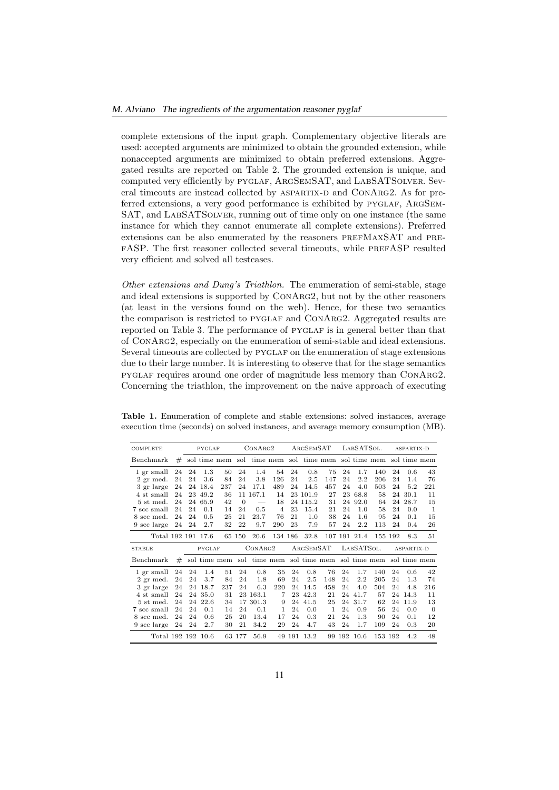complete extensions of the input graph. Complementary objective literals are used: accepted arguments are minimized to obtain the grounded extension, while nonaccepted arguments are minimized to obtain preferred extensions. Aggregated results are reported on Table 2. The grounded extension is unique, and computed very efficiently by pyglaf, ArgSemSAT, and LabSATSolver. Several timeouts are instead collected by ASPARTIX-D and CONARG2. As for preferred extensions, a very good performance is exhibited by PYGLAF, ARGSEM-SAT, and LABSATSOLVER, running out of time only on one instance (the same instance for which they cannot enumerate all complete extensions). Preferred extensions can be also enumerated by the reasoners  $PREFMAXSAT$  and  $PRE$ FASP. The first reasoner collected several timeouts, while PREFASP resulted very efficient and solved all testcases.

Other extensions and Dung's Triathlon. The enumeration of semi-stable, stage and ideal extensions is supported by ConArg2, but not by the other reasoners (at least in the versions found on the web). Hence, for these two semantics the comparison is restricted to PYGLAF and CONARG2. Aggregated results are reported on Table 3. The performance of PYGLAF is in general better than that of ConArg2, especially on the enumeration of semi-stable and ideal extensions. Several timeouts are collected by PYGLAF on the enumeration of stage extensions due to their large number. It is interesting to observe that for the stage semantics pyglaf requires around one order of magnitude less memory than ConArg2. Concerning the triathlon, the improvement on the naive approach of executing

| COMPLETE           |               |    | <b>PYGLAF</b> |     | CONARG2  |                                                                  |                |    | ARGSEMSAT |              |    | LABSATSOL.   |     | ASPARTIX-D |              |          |  |
|--------------------|---------------|----|---------------|-----|----------|------------------------------------------------------------------|----------------|----|-----------|--------------|----|--------------|-----|------------|--------------|----------|--|
| Benchmark          | #             |    |               |     |          | sol time mem sol time mem sol time mem sol time mem sol time mem |                |    |           |              |    |              |     |            |              |          |  |
| 1 gr small         | 24            | 24 | 1.3           | 50  | 24       | 1.4                                                              | 54             | 24 | 0.8       | 75           | 24 | 1.7          | 140 | 24         | 0.6          | 43       |  |
| 2 gr med.          | 24            | 24 | 3.6           | 84  | 24       | 3.8                                                              | 126            | 24 | 2.5       | 147          | 24 | 2.2          | 206 | 24         | 1.4          | 76       |  |
| 3 gr large         | 24            |    | 24 18.4       | 237 | 24       | 17.1                                                             | 489            | 24 | 14.5      | 457          | 24 | 4.0          | 503 | 24         | 5.2          | 221      |  |
| 4 st small         | 24            |    | 23 49.2       | 36  |          | 11 167.1                                                         | 14             |    | 23 101.9  | 27           | 23 | 68.8         | 58  |            | 24 30.1      | 11       |  |
| 5 st med.          | 24            |    | 24 65.9       | 42  | $\theta$ |                                                                  | 18             |    | 24 115.2  | 31           | 24 | 92.0         | 64  | 24         | 28.7         | 15       |  |
| 7 scc small        | 24            | 24 | 0.1           | 14  | 24       | 0.5                                                              | $\overline{4}$ | 23 | 15.4      | 21           | 24 | 1.0          | 58  | 24         | 0.0          | -1       |  |
| 8 scc med.         | 24            | 24 | 0.5           | 25  | 21       | 23.7                                                             | 76             | 21 | 1.0       | 38           | 24 | 1.6          | 95  | 24         | 0.1          | 15       |  |
| 9 scc large        | 24            | 24 | 2.7           | 32  | 22       | 9.7                                                              | 290            | 23 | 7.9       | 57           | 24 | 2.2          | 113 | 24         | 0.4          | 26       |  |
| Total 192 191 17.6 |               |    |               |     | 65 150   | 20.6                                                             | 134 186        |    | 32.8      |              |    | 107 191 21.4 |     | 155 192    | 8.3          | 51       |  |
|                    | <b>PYGLAF</b> |    |               |     |          | CONARG2                                                          |                |    | ARGSEMSAT |              |    |              |     | ASPARTIX-D |              |          |  |
| <b>STABLE</b>      |               |    |               |     |          |                                                                  |                |    |           |              |    | LABSATSOL.   |     |            |              |          |  |
| Benchmark          | #             |    |               |     |          | sol time mem sol time mem sol time mem sol time mem              |                |    |           |              |    |              |     |            | sol time mem |          |  |
| 1 gr small         | 24            | 24 | 1.4           | 51  | 24       | 0.8                                                              | 35             | 24 | 0.8       | 76           | 24 | 1.7          | 140 | 24         | 0.6          | 42       |  |
| 2 gr med.          | 24            | 24 | 3.7           | 84  | 24       | 1.8                                                              | 69             | 24 | 2.5       | 148          | 24 | 2.2          | 205 | 24         | 1.3          | 74       |  |
| 3 gr large         | 24            |    | 24 18.7       | 237 | 24       | 6.3                                                              | 220            |    | 24 14.5   | 458          | 24 | 4.0          | 504 | 24         | 4.8          | 216      |  |
| 4 st small         | 24            |    | 24 35.0       | 31  |          | 23 163.1                                                         | 7              | 23 | 42.3      | 21           | 24 | 41.7         | 57  | 24         | 14.3         | 11       |  |
| 5 st med.          | 24            |    | 24 22.6       | 34  |          | 17 301.3                                                         | 9              |    | 24 41.5   | 25           | 24 | 31.7         | 62  | 24         | 11.9         | 13       |  |
| 7 scc small        | 24            | 24 | 0.1           | 14  | 24       | 0.1                                                              | 1              | 24 | 0.0       | $\mathbf{1}$ | 24 | 0.9          | 56  | 24         | 0.0          | $\theta$ |  |
| 8 scc med.         | 24            | 24 | 0.6           | 25  | 20       | 13.4                                                             | 17             | 24 | 0.3       | 21           | 24 | 1.3          | 90  | 24         | 0.1          | 12       |  |
| 9 scc large        | 24            | 24 | 2.7           | 30  | 21       | 34.2                                                             | 29             | 24 | 4.7       | 43           | 24 | 1.7          | 109 | 24         | 0.3          | 20       |  |

Table 1. Enumeration of complete and stable extensions: solved instances, average execution time (seconds) on solved instances, and average memory consumption (MB).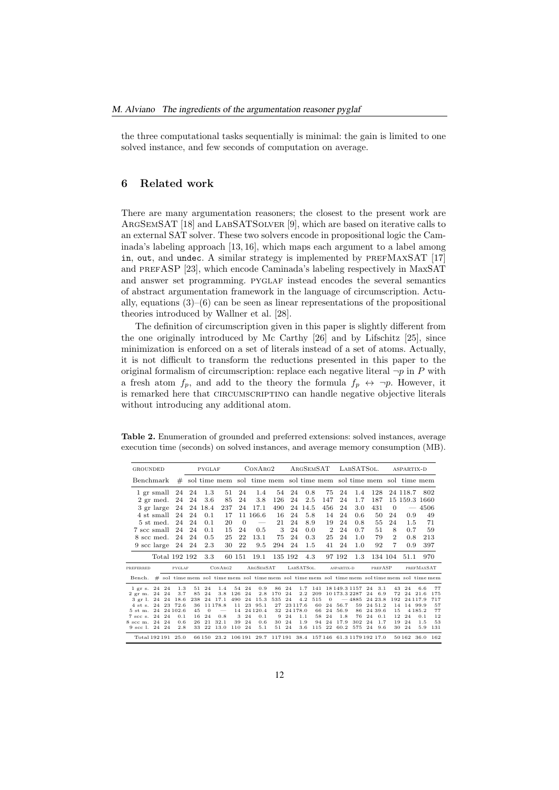the three computational tasks sequentially is minimal: the gain is limited to one solved instance, and few seconds of computation on average.

# 6 Related work

There are many argumentation reasoners; the closest to the present work are ARGSEMSAT [18] and LABSATSOLVER [9], which are based on iterative calls to an external SAT solver. These two solvers encode in propositional logic the Caminada's labeling approach [13, 16], which maps each argument to a label among in, out, and undec. A similar strategy is implemented by PREFMAXSAT [17] and PREFASP [23], which encode Caminada's labeling respectively in MaxSAT and answer set programming. PYGLAF instead encodes the several semantics of abstract argumentation framework in the language of circumscription. Actually, equations  $(3)$ – $(6)$  can be seen as linear representations of the propositional theories introduced by Wallner et al. [28].

The definition of circumscription given in this paper is slightly different from the one originally introduced by Mc Carthy [26] and by Lifschitz [25], since minimization is enforced on a set of literals instead of a set of atoms. Actually, it is not difficult to transform the reductions presented in this paper to the original formalism of circumscription: replace each negative literal  $\neg p$  in P with a fresh atom  $f_p$ , and add to the theory the formula  $f_p \leftrightarrow \neg p$ . However, it is remarked here that circumscriptino can handle negative objective literals without introducing any additional atom.

Table 2. Enumeration of grounded and preferred extensions: solved instances, average execution time (seconds) on solved instances, and average memory consumption (MB).

| <b>GROUNDED</b> |            |                    | <b>PYGLAF</b> |                |                                                                                              |        | CONARG2  |                                 |         |    | ARGSEMSAT   |            |     |                | LABSATSOL. |               |    |         | ASPARTIX-D |          |                 |      |
|-----------------|------------|--------------------|---------------|----------------|----------------------------------------------------------------------------------------------|--------|----------|---------------------------------|---------|----|-------------|------------|-----|----------------|------------|---------------|----|---------|------------|----------|-----------------|------|
| Benchmark       |            | #                  |               |                | sol time mem sol time mem sol time mem sol time mem sol time mem                             |        |          |                                 |         |    |             |            |     |                |            |               |    |         |            |          |                 |      |
|                 |            | 1 gr small 24      | 24            | 1.3            | 51                                                                                           |        | 24       | 1.4                             | 54      |    | 24          | 0.8        |     | 75             | 24         | 1.4           |    | 128     |            | 24 118.7 |                 | 802  |
|                 | 2 gr med.  | 24                 | 24            | 3.6            | 85                                                                                           |        | 24       | 3.8                             | 126     |    | 24          | 2.5        |     | 147            | 24         | 1.7           |    | 187     |            |          | 15 159.3 1660   |      |
|                 | 3 gr large | 24                 | 24            | 18.4           | 237                                                                                          |        | 24       | 17.1                            | 490     |    | 24          | 14.5       |     | 456            | 24         | 3.0           |    | 431     | $\Omega$   |          |                 | 4506 |
|                 | 4 st small | 24                 | 24            | 0.1            | 17                                                                                           |        |          | 11 166.6                        | 16      |    | 24          | 5.8        |     | 14             | 24         | 0.6           |    | 50      | 24         | 0.9      |                 | 49   |
|                 | 5 st med.  | 24                 | 24            | 0.1            | 20                                                                                           |        | $\Omega$ | $\hspace{0.1mm}-\hspace{0.1mm}$ | 21      |    | 24          | 8.9        |     | 19             | 24         | 0.8           |    | 55      | 24         | 1.5      |                 | 71   |
| 7 scc small     |            | 24                 | 24            | 0.1            | 15                                                                                           |        | 24       | 0.5                             | 3       |    | 24          | 0.0        |     | $\overline{2}$ | 24         | 0.7           |    | 51      | 8          | 0.7      |                 | 59   |
| 8 scc med.      |            | 24                 | 24            | 0.5            | 25                                                                                           |        | 22       | 13.1                            | 75      |    | 24          | 0.3        |     | 25             | 24         | 1.0           |    | 79      | 2          | 0.8      |                 | 213  |
| 9 scc large     |            | 24                 | 24            | 2.3            | 30                                                                                           |        | 22       | 9.5                             | 294     |    | 24          | 1.5        |     | 41             | 24         | 1.0           |    | 92      | 7          | 0.9      |                 | 397  |
|                 |            |                    |               |                |                                                                                              |        |          |                                 |         |    |             |            |     |                |            |               |    |         |            |          |                 |      |
|                 |            | Total 192 192      |               | 3.3            |                                                                                              | 60 151 |          | 19.1                            | 135 192 |    |             | 4.3        |     |                | 97 192     | 1.3           |    |         | 134 104    | 51.1     |                 | 970  |
| PREFERRED       |            | PYGLAF             |               |                | CONARG2                                                                                      |        |          | ARGSEMSAT                       |         |    |             | LABSATSOL. |     |                | ASPARTIX-D |               |    | PREFASP |            |          | PREFMAXSAT      |      |
| Bench.          |            |                    |               |                | # sol time mem sol time mem sol time mem sol time mem sol time mem sol time mem sol time mem |        |          |                                 |         |    |             |            |     |                |            |               |    |         |            |          |                 |      |
| 1 gr s. 24 24   |            | 1.3                | 51            | 24             | 1.4                                                                                          |        | 54 24    | 0.9                             | 86      | 24 | 1.7         |            | 141 |                |            | 18 149.3 1157 | 24 | 3.1     | 43         | 24       | 6.6             | 77   |
| 2 er m. 24 24   |            | 3.7                | 85            | 24             | 3.8                                                                                          | 126 24 |          | 2.8                             | 170     | 24 |             | 2.2        | 209 |                |            | 10173.32287   |    | 246.9   | 72         | 24       | 21.6            | 175  |
| 3 gr 1. 24 24   |            | 18.6               | 238           | 24             | 17.1                                                                                         | 490    | 24       | 15.3                            | 535     | 24 |             | 4.2<br>515 |     | $\mathbf{0}$   |            | $-4885$       |    | 24 23.8 | 192        |          | 24 117.9        | 717  |
|                 |            | 4 st s. 24 23 72.6 | 36            |                | 11 178.8                                                                                     | 11     |          | 23 95.1                         | 27      |    | 23 117.6    |            | 60  |                | 24 56.7    | 59            |    | 24 51.2 |            |          | 14 14 99.9      | 57   |
| $5$ st m.       |            | 24 24 102.6        | 45            | $\overline{0}$ | $\overline{\phantom{0}}$                                                                     |        |          | 14 24 120.4                     |         |    | 32 24 178.0 |            | 66  |                | 24 56.9    | 86            |    | 24 39.6 | 15         |          | 4 1 8 5 . 2     | 77   |
| 7 scc s. 24 24  |            | 0.1                | 16            | 24             | 0.8                                                                                          | 3      | 24       | 0.1                             | 9       | 24 | 1.1         |            | 58  | 24             | 1.8        | 76            |    | 24 0.1  | 12         | 24       | 0.1             | 12   |
| 8 scc m. 24 24  |            | 0.6                | 26            | 21             | 32.1                                                                                         | 39     | 24       | 0.6                             | 30      | 24 | 1.9         |            | 94  | 24             | 17.9       | 302           | 24 | 1.7     | 19         | 24       | 1.5             | 53   |
| 9 scc 1. 24 24  |            | 2.8                |               | 33 22          | 13.0                                                                                         | 110 24 |          | 5.1                             | 51 24   |    |             | 3.6        | 115 |                | 22 60.2    | 575           |    | 24 9.6  | 30         | 24       | 5.9             | 131  |
|                 |            | Total 192 191 25.0 |               |                | 66 150 23.2 106 191 29.7 117 191 38.4 157 146 61.3 1179 192 17.0                             |        |          |                                 |         |    |             |            |     |                |            |               |    |         |            |          | 50 162 36.0 162 |      |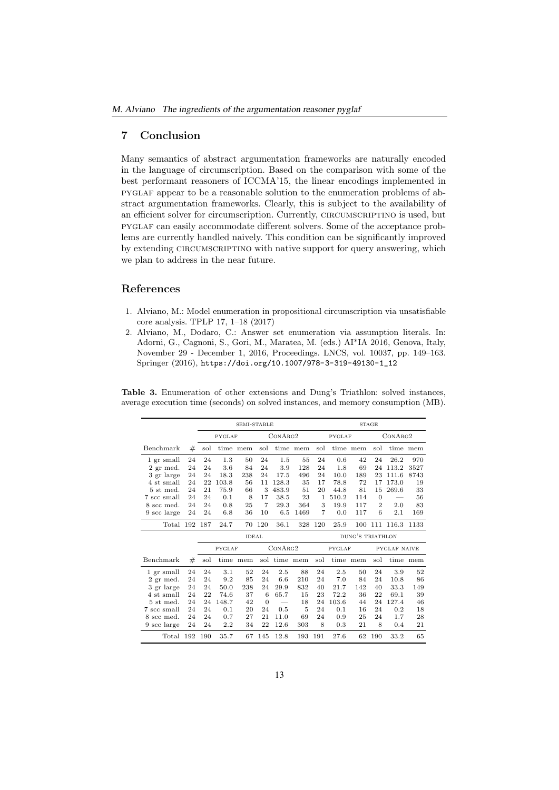# 7 Conclusion

Many semantics of abstract argumentation frameworks are naturally encoded in the language of circumscription. Based on the comparison with some of the best performant reasoners of ICCMA'15, the linear encodings implemented in pyglaf appear to be a reasonable solution to the enumeration problems of abstract argumentation frameworks. Clearly, this is subject to the availability of an efficient solver for circumscription. Currently, circumscriptino is used, but pyglaf can easily accommodate different solvers. Some of the acceptance problems are currently handled naively. This condition can be significantly improved by extending CIRCUMSCRIPTINO with native support for query answering, which we plan to address in the near future.

## References

- 1. Alviano, M.: Model enumeration in propositional circumscription via unsatisfiable core analysis. TPLP 17, 1–18 (2017)
- 2. Alviano, M., Dodaro, C.: Answer set enumeration via assumption literals. In: Adorni, G., Cagnoni, S., Gori, M., Maratea, M. (eds.) AI\*IA 2016, Genova, Italy, November 29 - December 1, 2016, Proceedings. LNCS, vol. 10037, pp. 149–163. Springer (2016), https://doi.org/10.1007/978-3-319-49130-1\_12

Table 3. Enumeration of other extensions and Dung's Triathlon: solved instances, average execution time (seconds) on solved instances, and memory consumption (MB).

|                            |    |     |               | SEMI-STABLE  |                |                          | <b>STAGE</b> |                |               |                  |                     |           |          |  |  |
|----------------------------|----|-----|---------------|--------------|----------------|--------------------------|--------------|----------------|---------------|------------------|---------------------|-----------|----------|--|--|
|                            |    |     | <b>PYGLAF</b> |              |                | CONARG2                  |              |                | <b>PYGLAF</b> |                  |                     | CONARG2   |          |  |  |
| $\operatorname{Benchmark}$ | #  | sol | time          | mem          | sol            |                          | time mem     | sol            |               | time mem         | sol                 |           | time mem |  |  |
| 1 gr small                 | 24 | 24  | 1.3           | 50           | 24             | 1.5                      | 55           | 24             | 0.6           | 42               | 24                  | 26.2      | 970      |  |  |
| 2 gr med.                  | 24 | 24  | 3.6           | 84           | 24             | 3.9                      | 128          | 24             | 1.8           | 69               | 24                  | 113.2     | 3527     |  |  |
| 3 gr large                 | 24 | 24  | 18.3          | 238          | 24             | 17.5                     | 496          | 24             | 10.0          | 189              | 23                  | 111.6     | 8743     |  |  |
| 4 st small                 | 24 | 22  | 103.8         | 56           | 11             | 128.3                    | 35           | 17             | 78.8          | 72               | 17                  | 173.0     | 19       |  |  |
| 5 st med.                  | 24 | 21  | 75.9          | 66           | 3              | 483.9                    | 51           | 20             | 44.8          | 81               | 15                  | 269.6     | 33       |  |  |
| 7 scc small                | 24 | 24  | 0.1           | 8            | 17             | 38.5                     | 23           | 1              | 510.2         | 114              | $\Omega$            |           | 56       |  |  |
| 8 scc med.                 | 24 | 24  | 0.8           | 25           | $\overline{7}$ | 29.3                     | 364          | 3              | 19.9          | 117              | $\mathfrak{D}$      | 2.0       | 83       |  |  |
| 9 scc large                | 24 | 24  | 6.8           | 36           | 10             | 6.5                      | 1469         | $\overline{7}$ | 0.0           | 117              | 6                   | 2.1       | 169      |  |  |
| Total 192                  |    | 187 | 24.7          | 70           | 120            | 36.1                     | 328          | 120            | 25.9          | 100              |                     | 111 116.3 | 1133     |  |  |
|                            |    |     |               | <b>IDEAL</b> |                |                          |              |                |               | DUNG'S TRIATHLON |                     |           |          |  |  |
|                            |    |     | <b>PYGLAF</b> |              |                | CONARG2                  |              |                | <b>PYGLAF</b> |                  | <b>PYGLAF NAIVE</b> |           |          |  |  |
| Benchmark                  | #  | sol |               | time mem     |                | sol time mem             |              | sol            |               | time mem         | sol                 |           | time mem |  |  |
| 1 gr small                 | 24 | 24  | 3.1           | 52           | 24             | 2.5                      | 88           | 24             | 2.5           | 50               | 24                  | 3.9       | 52       |  |  |
| 2 gr med.                  | 24 | 24  | 9.2           | 85           | 24             | 6.6                      | 210          | 24             | 7.0           | 84               | 24                  | 10.8      | 86       |  |  |
| 3 gr large                 | 24 | 24  | 50.0          | 238          | 24             | 29.9                     | 832          | 40             | 21.7          | 142              | 40                  | 33.3      | 149      |  |  |
| 4 st small                 | 24 | 22  | 74.6          | 37           | 6              | 65.7                     | 15           | 23             | 72.2          | 36               | 22                  | 69.1      | 39       |  |  |
| 5 st med.                  | 24 | 24  | 148.7         | 42           | $\Omega$       | $\overline{\phantom{0}}$ | 18           | 24             | 103.6         | 44               | 24                  | 127.4     | 46       |  |  |
| 7 scc small                | 24 | 24  | 0.1           | 20           | 24             | 0.5                      | 5            | 24             | 0.1           | 16               | 24                  | 0.2       | 18       |  |  |
| 8<br>scc med.              | 24 | 24  | 0.7           | 27           | 21             | 11.0                     | 69           | 24             | 0.9           | 25               | 24                  | 1.7       | 28       |  |  |
| 9 scc large                | 24 | 24  | 2.2           | 34           | 22             | 12.6                     | 303          | 8              | 0.3           | 21               | 8                   | 0.4       | 21       |  |  |
|                            |    |     |               |              |                |                          |              |                |               |                  |                     |           |          |  |  |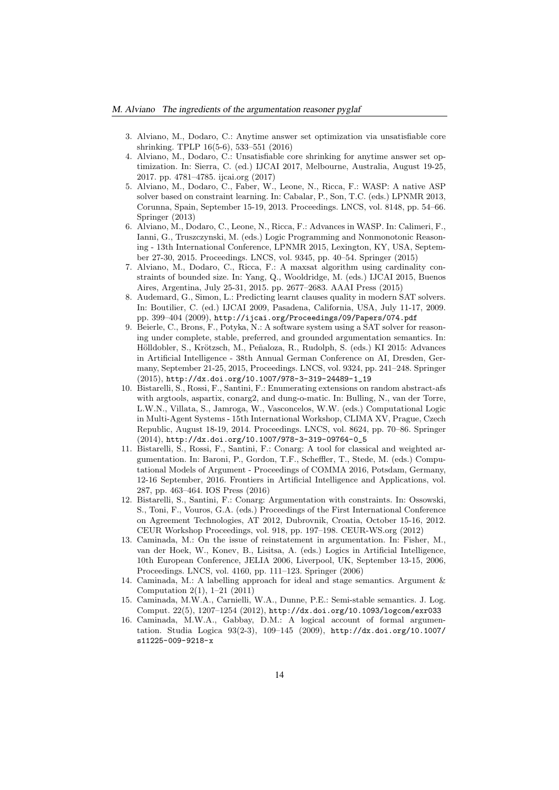- 3. Alviano, M., Dodaro, C.: Anytime answer set optimization via unsatisfiable core shrinking. TPLP 16(5-6), 533–551 (2016)
- 4. Alviano, M., Dodaro, C.: Unsatisfiable core shrinking for anytime answer set optimization. In: Sierra, C. (ed.) IJCAI 2017, Melbourne, Australia, August 19-25, 2017. pp. 4781–4785. ijcai.org (2017)
- 5. Alviano, M., Dodaro, C., Faber, W., Leone, N., Ricca, F.: WASP: A native ASP solver based on constraint learning. In: Cabalar, P., Son, T.C. (eds.) LPNMR 2013, Corunna, Spain, September 15-19, 2013. Proceedings. LNCS, vol. 8148, pp. 54–66. Springer (2013)
- 6. Alviano, M., Dodaro, C., Leone, N., Ricca, F.: Advances in WASP. In: Calimeri, F., Ianni, G., Truszczynski, M. (eds.) Logic Programming and Nonmonotonic Reasoning - 13th International Conference, LPNMR 2015, Lexington, KY, USA, September 27-30, 2015. Proceedings. LNCS, vol. 9345, pp. 40–54. Springer (2015)
- 7. Alviano, M., Dodaro, C., Ricca, F.: A maxsat algorithm using cardinality constraints of bounded size. In: Yang, Q., Wooldridge, M. (eds.) IJCAI 2015, Buenos Aires, Argentina, July 25-31, 2015. pp. 2677–2683. AAAI Press (2015)
- 8. Audemard, G., Simon, L.: Predicting learnt clauses quality in modern SAT solvers. In: Boutilier, C. (ed.) IJCAI 2009, Pasadena, California, USA, July 11-17, 2009. pp. 399–404 (2009), http://ijcai.org/Proceedings/09/Papers/074.pdf
- 9. Beierle, C., Brons, F., Potyka, N.: A software system using a SAT solver for reasoning under complete, stable, preferred, and grounded argumentation semantics. In: Hölldobler, S., Krötzsch, M., Peñaloza, R., Rudolph, S. (eds.) KI 2015: Advances in Artificial Intelligence - 38th Annual German Conference on AI, Dresden, Germany, September 21-25, 2015, Proceedings. LNCS, vol. 9324, pp. 241–248. Springer (2015), http://dx.doi.org/10.1007/978-3-319-24489-1\_19
- 10. Bistarelli, S., Rossi, F., Santini, F.: Enumerating extensions on random abstract-afs with argtools, aspartix, conarg2, and dung-o-matic. In: Bulling, N., van der Torre, L.W.N., Villata, S., Jamroga, W., Vasconcelos, W.W. (eds.) Computational Logic in Multi-Agent Systems - 15th International Workshop, CLIMA XV, Prague, Czech Republic, August 18-19, 2014. Proceedings. LNCS, vol. 8624, pp. 70–86. Springer (2014), http://dx.doi.org/10.1007/978-3-319-09764-0\_5
- 11. Bistarelli, S., Rossi, F., Santini, F.: Conarg: A tool for classical and weighted argumentation. In: Baroni, P., Gordon, T.F., Scheffler, T., Stede, M. (eds.) Computational Models of Argument - Proceedings of COMMA 2016, Potsdam, Germany, 12-16 September, 2016. Frontiers in Artificial Intelligence and Applications, vol. 287, pp. 463–464. IOS Press (2016)
- 12. Bistarelli, S., Santini, F.: Conarg: Argumentation with constraints. In: Ossowski, S., Toni, F., Vouros, G.A. (eds.) Proceedings of the First International Conference on Agreement Technologies, AT 2012, Dubrovnik, Croatia, October 15-16, 2012. CEUR Workshop Proceedings, vol. 918, pp. 197–198. CEUR-WS.org (2012)
- 13. Caminada, M.: On the issue of reinstatement in argumentation. In: Fisher, M., van der Hoek, W., Konev, B., Lisitsa, A. (eds.) Logics in Artificial Intelligence, 10th European Conference, JELIA 2006, Liverpool, UK, September 13-15, 2006, Proceedings. LNCS, vol. 4160, pp. 111–123. Springer (2006)
- 14. Caminada, M.: A labelling approach for ideal and stage semantics. Argument & Computation 2(1), 1–21 (2011)
- 15. Caminada, M.W.A., Carnielli, W.A., Dunne, P.E.: Semi-stable semantics. J. Log. Comput. 22(5), 1207–1254 (2012), http://dx.doi.org/10.1093/logcom/exr033
- 16. Caminada, M.W.A., Gabbay, D.M.: A logical account of formal argumentation. Studia Logica 93(2-3), 109–145 (2009), http://dx.doi.org/10.1007/ s11225-009-9218-x